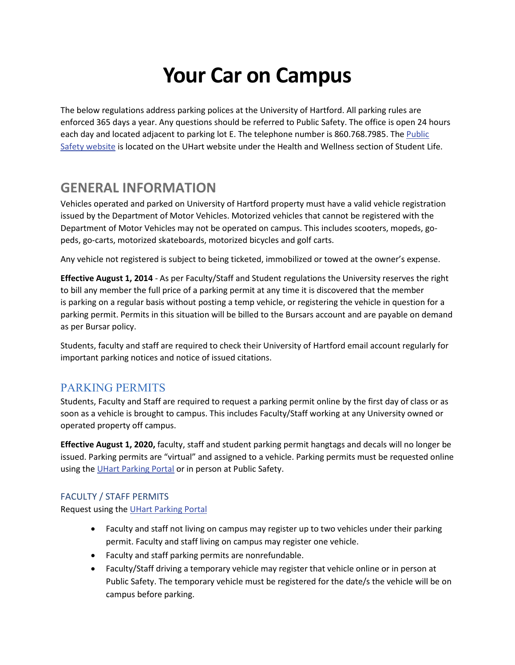# **Your Car on Campus**

The below regulations address parking polices at the University of Hartford. All parking rules are enforced 365 days a year. Any questions should be referred to Public Safety. The office is open 24 hours each day and located adjacent to parking lot E. The telephone number is 860.768.7985. The Public [Safety website](https://www.hartford.edu/student-life/health-wellness/public-safety/) is located on the UHart website under the Health and Wellness section of Student Life.

# **GENERAL INFORMATION**

Vehicles operated and parked on University of Hartford property must have a valid vehicle registration issued by the Department of Motor Vehicles. Motorized vehicles that cannot be registered with the Department of Motor Vehicles may not be operated on campus. This includes scooters, mopeds, gopeds, go-carts, motorized skateboards, motorized bicycles and golf carts.

Any vehicle not registered is subject to being ticketed, immobilized or towed at the owner's expense.

**Effective August 1, 2014** - As per Faculty/Staff and Student regulations the University reserves the right to bill any member the full price of a parking permit at any time it is discovered that the member is parking on a regular basis without posting a temp vehicle, or registering the vehicle in question for a parking permit. Permits in this situation will be billed to the Bursars account and are payable on demand as per Bursar policy.

Students, faculty and staff are required to check their University of Hartford email account regularly for important parking notices and notice of issued citations.

## PARKING PERMITS

Students, Faculty and Staff are required to request a parking permit online by the first day of class or as soon as a vehicle is brought to campus. This includes Faculty/Staff working at any University owned or operated property off campus.

**Effective August 1, 2020,** faculty, staff and student parking permit hangtags and decals will no longer be issued. Parking permits are "virtual" and assigned to a vehicle. Parking permits must be requested online using the [UHart Parking Portal](https://uhparking.hartford.edu/) or in person at Public Safety.

#### FACULTY / STAFF PERMITS

Request using th[e UHart Parking Portal](https://uhparking.hartford.edu/) 

- Faculty and staff not living on campus may register up to two vehicles under their parking permit. Faculty and staff living on campus may register one vehicle.
- Faculty and staff parking permits are nonrefundable.
- Faculty/Staff driving a temporary vehicle may register that vehicle online or in person at Public Safety. The temporary vehicle must be registered for the date/s the vehicle will be on campus before parking.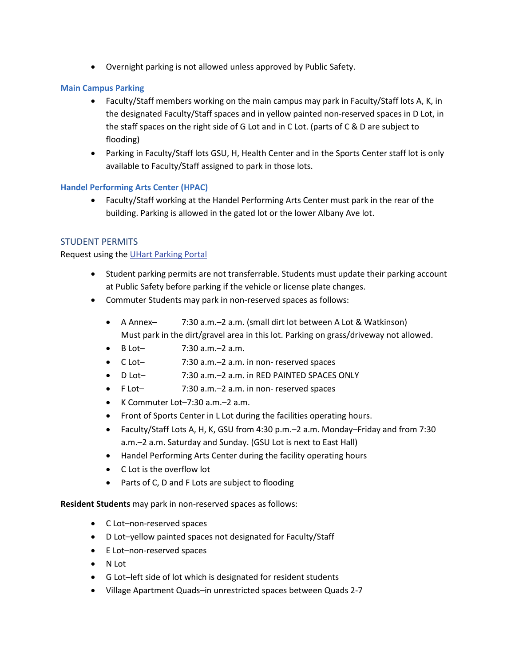• Overnight parking is not allowed unless approved by Public Safety.

#### **Main Campus Parking**

- Faculty/Staff members working on the main campus may park in Faculty/Staff lots A, K, in the designated Faculty/Staff spaces and in yellow painted non-reserved spaces in D Lot, in the staff spaces on the right side of G Lot and in C Lot. (parts of C & D are subject to flooding)
- Parking in Faculty/Staff lots GSU, H, Health Center and in the Sports Center staff lot is only available to Faculty/Staff assigned to park in those lots.

#### **Handel Performing Arts Center (HPAC)**

• Faculty/Staff working at the Handel Performing Arts Center must park in the rear of the building. Parking is allowed in the gated lot or the lower Albany Ave lot.

#### STUDENT PERMITS

#### Request using th[e UHart Parking Portal](https://uhparking.hartford.edu/)

- Student parking permits are not transferrable. Students must update their parking account at Public Safety before parking if the vehicle or license plate changes.
- Commuter Students may park in non-reserved spaces as follows:
	- A Annex– 7:30 a.m.–2 a.m. (small dirt lot between A Lot & Watkinson) Must park in the dirt/gravel area in this lot. Parking on grass/driveway not allowed.
	- B Lot– 7:30 a.m.–2 a.m.
	- C Lot– 7:30 a.m.–2 a.m. in non- reserved spaces
	- D Lot– 7:30 a.m.–2 a.m. in RED PAINTED SPACES ONLY
	- F Lot– 7:30 a.m.–2 a.m. in non- reserved spaces
	- K Commuter Lot–7:30 a.m.–2 a.m.
	- Front of Sports Center in L Lot during the facilities operating hours.
	- Faculty/Staff Lots A, H, K, GSU from 4:30 p.m.–2 a.m. Monday–Friday and from 7:30 a.m.–2 a.m. Saturday and Sunday. (GSU Lot is next to East Hall)
	- Handel Performing Arts Center during the facility operating hours
	- C Lot is the overflow lot
	- Parts of C, D and F Lots are subject to flooding

**Resident Students** may park in non-reserved spaces as follows:

- C Lot–non-reserved spaces
- D Lot–yellow painted spaces not designated for Faculty/Staff
- E Lot–non-reserved spaces
- N Lot
- G Lot–left side of lot which is designated for resident students
- Village Apartment Quads–in unrestricted spaces between Quads 2-7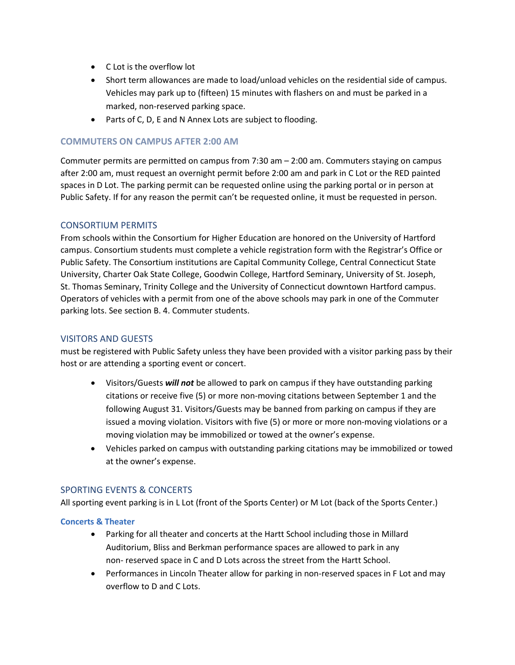- C Lot is the overflow lot
- Short term allowances are made to load/unload vehicles on the residential side of campus. Vehicles may park up to (fifteen) 15 minutes with flashers on and must be parked in a marked, non-reserved parking space.
- Parts of C, D, E and N Annex Lots are subject to flooding.

#### **COMMUTERS ON CAMPUS AFTER 2:00 AM**

Commuter permits are permitted on campus from 7:30 am – 2:00 am. Commuters staying on campus after 2:00 am, must request an overnight permit before 2:00 am and park in C Lot or the RED painted spaces in D Lot. The parking permit can be requested online using the parking portal or in person at Public Safety. If for any reason the permit can't be requested online, it must be requested in person.

#### CONSORTIUM PERMITS

From schools within the Consortium for Higher Education are honored on the University of Hartford campus. Consortium students must complete a vehicle registration form with the Registrar's Office or Public Safety. The Consortium institutions are Capital Community College, Central Connecticut State University, Charter Oak State College, Goodwin College, Hartford Seminary, University of St. Joseph, St. Thomas Seminary, Trinity College and the University of Connecticut downtown Hartford campus. Operators of vehicles with a permit from one of the above schools may park in one of the Commuter parking lots. See section B. 4. Commuter students.

#### VISITORS AND GUESTS

must be registered with Public Safety unless they have been provided with a visitor parking pass by their host or are attending a sporting event or concert.

- Visitors/Guests *will not* be allowed to park on campus if they have outstanding parking citations or receive five (5) or more non-moving citations between September 1 and the following August 31. Visitors/Guests may be banned from parking on campus if they are issued a moving violation. Visitors with five (5) or more or more non-moving violations or a moving violation may be immobilized or towed at the owner's expense.
- Vehicles parked on campus with outstanding parking citations may be immobilized or towed at the owner's expense.

#### SPORTING EVENTS & CONCERTS

All sporting event parking is in L Lot (front of the Sports Center) or M Lot (back of the Sports Center.)

#### **Concerts & Theater**

- Parking for all theater and concerts at the Hartt School including those in Millard Auditorium, Bliss and Berkman performance spaces are allowed to park in any non- reserved space in C and D Lots across the street from the Hartt School.
- Performances in Lincoln Theater allow for parking in non-reserved spaces in F Lot and may overflow to D and C Lots.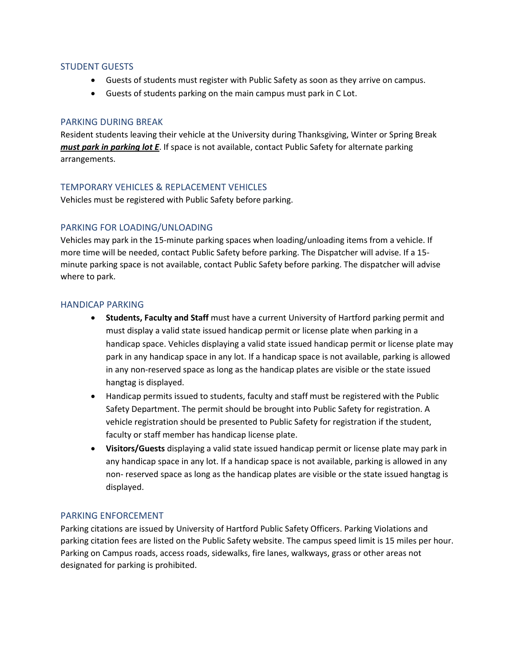#### STUDENT GUESTS

- Guests of students must register with Public Safety as soon as they arrive on campus.
- Guests of students parking on the main campus must park in C Lot.

#### PARKING DURING BREAK

Resident students leaving their vehicle at the University during Thanksgiving, Winter or Spring Break *must park in parking lot E*. If space is not available, contact Public Safety for alternate parking arrangements.

#### TEMPORARY VEHICLES & REPLACEMENT VEHICLES

Vehicles must be registered with Public Safety before parking.

#### PARKING FOR LOADING/UNLOADING

Vehicles may park in the 15-minute parking spaces when loading/unloading items from a vehicle. If more time will be needed, contact Public Safety before parking. The Dispatcher will advise. If a 15 minute parking space is not available, contact Public Safety before parking. The dispatcher will advise where to park.

#### HANDICAP PARKING

- **Students, Faculty and Staff** must have a current University of Hartford parking permit and must display a valid state issued handicap permit or license plate when parking in a handicap space. Vehicles displaying a valid state issued handicap permit or license plate may park in any handicap space in any lot. If a handicap space is not available, parking is allowed in any non-reserved space as long as the handicap plates are visible or the state issued hangtag is displayed.
- Handicap permits issued to students, faculty and staff must be registered with the Public Safety Department. The permit should be brought into Public Safety for registration. A vehicle registration should be presented to Public Safety for registration if the student, faculty or staff member has handicap license plate.
- **Visitors/Guests** displaying a valid state issued handicap permit or license plate may park in any handicap space in any lot. If a handicap space is not available, parking is allowed in any non- reserved space as long as the handicap plates are visible or the state issued hangtag is displayed.

#### PARKING ENFORCEMENT

Parking citations are issued by University of Hartford Public Safety Officers. Parking Violations and parking citation fees are listed on the Public Safety website. The campus speed limit is 15 miles per hour. Parking on Campus roads, access roads, sidewalks, fire lanes, walkways, grass or other areas not designated for parking is prohibited.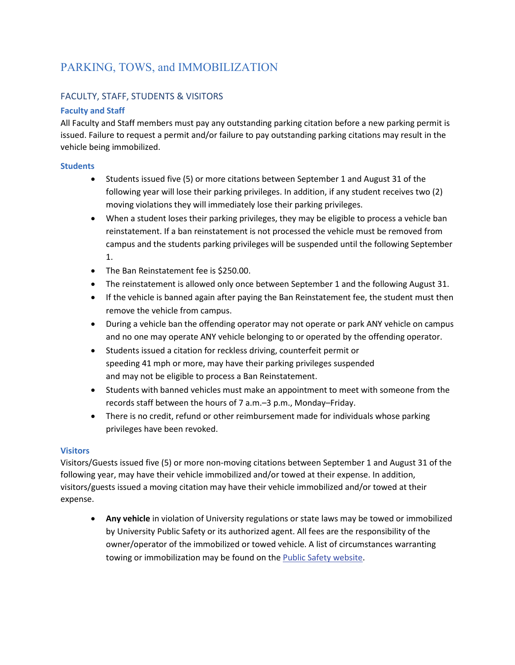# PARKING, TOWS, and IMMOBILIZATION

### FACULTY, STAFF, STUDENTS & VISITORS

#### **Faculty and Staff**

All Faculty and Staff members must pay any outstanding parking citation before a new parking permit is issued. Failure to request a permit and/or failure to pay outstanding parking citations may result in the vehicle being immobilized.

#### **Students**

- Students issued five (5) or more citations between September 1 and August 31 of the following year will lose their parking privileges. In addition, if any student receives two (2) moving violations they will immediately lose their parking privileges.
- When a student loses their parking privileges, they may be eligible to process a vehicle ban reinstatement. If a ban reinstatement is not processed the vehicle must be removed from campus and the students parking privileges will be suspended until the following September 1.
- The Ban Reinstatement fee is \$250.00.
- The reinstatement is allowed only once between September 1 and the following August 31.
- If the vehicle is banned again after paying the Ban Reinstatement fee, the student must then remove the vehicle from campus.
- During a vehicle ban the offending operator may not operate or park ANY vehicle on campus and no one may operate ANY vehicle belonging to or operated by the offending operator.
- Students issued a citation for reckless driving, counterfeit permit or speeding 41 mph or more, may have their parking privileges suspended and may not be eligible to process a Ban Reinstatement.
- Students with banned vehicles must make an appointment to meet with someone from the records staff between the hours of 7 a.m.–3 p.m., Monday–Friday.
- There is no credit, refund or other reimbursement made for individuals whose parking privileges have been revoked.

#### **Visitors**

Visitors/Guests issued five (5) or more non-moving citations between September 1 and August 31 of the following year, may have their vehicle immobilized and/or towed at their expense. In addition, visitors/guests issued a moving citation may have their vehicle immobilized and/or towed at their expense.

• **Any vehicle** in violation of University regulations or state laws may be towed or immobilized by University Public Safety or its authorized agent. All fees are the responsibility of the owner/operator of the immobilized or towed vehicle. A list of circumstances warranting towing or immobilization may be found on the Public Safety website.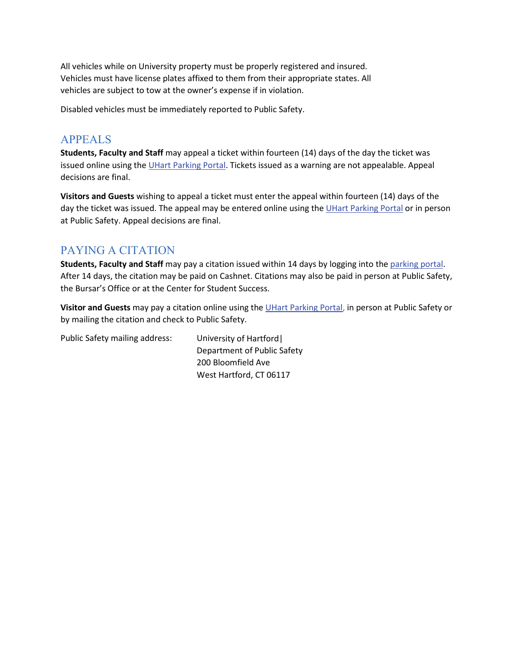All vehicles while on University property must be properly registered and insured. Vehicles must have license plates affixed to them from their appropriate states. All vehicles are subject to tow at the owner's expense if in violation.

Disabled vehicles must be immediately reported to Public Safety.

## APPEALS

**Students, Faculty and Staff** may appeal a ticket within fourteen (14) days of the day the ticket was issued online using th[e UHart Parking Portal.](https://uhparking.hartford.edu/) Tickets issued as a warning are not appealable. Appeal decisions are final.

**Visitors and Guests** wishing to appeal a ticket must enter the appeal within fourteen (14) days of the day the ticket was issued. The appeal may be entered online using th[e UHart Parking Portal](https://uhparking.hartford.edu/) or in person at Public Safety. Appeal decisions are final.

## PAYING A CITATION

**Students, Faculty and Staff** may pay a citation issued within 14 days by logging into the [parking portal.](https://uhparking.hartford.edu/) After 14 days, the citation may be paid on Cashnet. Citations may also be paid in person at Public Safety, the Bursar's Office or at the Center for Student Success.

**Visitor and Guests** may pay a citation online using th[e UHart Parking Portal,](https://uhparking.hartford.edu/) in person at Public Safety or by mailing the citation and check to Public Safety.

Public Safety mailing address: University of Hartford| Department of Public Safety 200 Bloomfield Ave West Hartford, CT 06117